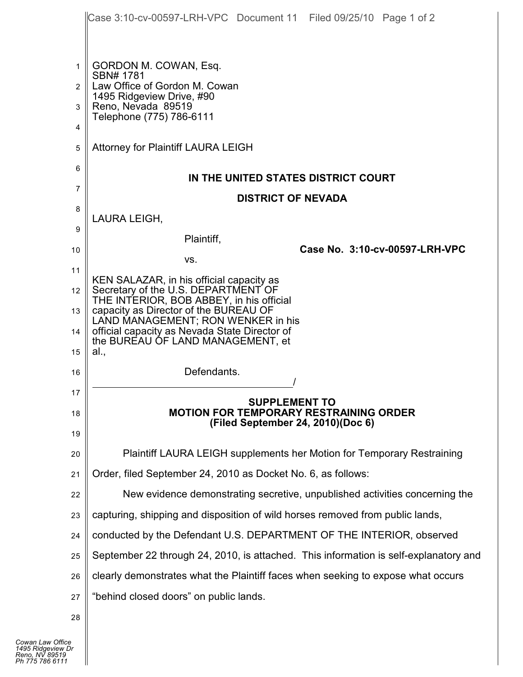|                  | Case 3:10-cv-00597-LRH-VPC Document 11 Filed 09/25/10 Page 1 of 2                                                                                                                                                                                    |  |
|------------------|------------------------------------------------------------------------------------------------------------------------------------------------------------------------------------------------------------------------------------------------------|--|
| 1<br>2<br>3<br>4 | GORDON M. COWAN, Esq.<br>SBN# 1781<br>Law Office of Gordon M. Cowan<br>1495 Ridgeview Drive, #90<br>Reno, Nevada 89519<br>Telephone (775) 786-6111                                                                                                   |  |
| 5                | <b>Attorney for Plaintiff LAURA LEIGH</b>                                                                                                                                                                                                            |  |
| 6<br>7           | IN THE UNITED STATES DISTRICT COURT                                                                                                                                                                                                                  |  |
| 8                | <b>DISTRICT OF NEVADA</b>                                                                                                                                                                                                                            |  |
| 9                | LAURA LEIGH,                                                                                                                                                                                                                                         |  |
| 10               | Plaintiff,<br>Case No. 3:10-cv-00597-LRH-VPC<br>VS.                                                                                                                                                                                                  |  |
| 11               | KEN SALAZAR, in his official capacity as                                                                                                                                                                                                             |  |
| 12<br>13         | Secretary of the U.S. DEPARTMENT OF<br>THE INTERIOR, BOB ABBEY, in his official<br>capacity as Director of the BUREAU OF<br>LAND MANAGEMENT; RON WENKER in his<br>official capacity as Nevada State Director of<br>the BUREAU OF LAND MANAGEMENT, et |  |
| 14               |                                                                                                                                                                                                                                                      |  |
| 15               | al.,                                                                                                                                                                                                                                                 |  |
| 16               | Defendants.                                                                                                                                                                                                                                          |  |
| 17               | <b>SUPPLEMENT TO</b>                                                                                                                                                                                                                                 |  |
| 18               | <b>MOTION FOR TEMPORARY RESTRAINING ORDER</b><br>(Filed September 24, 2010)(Doc 6)                                                                                                                                                                   |  |
| 19               |                                                                                                                                                                                                                                                      |  |
| 20               | Plaintiff LAURA LEIGH supplements her Motion for Temporary Restraining                                                                                                                                                                               |  |
| 21               | Order, filed September 24, 2010 as Docket No. 6, as follows:                                                                                                                                                                                         |  |
| 22               | New evidence demonstrating secretive, unpublished activities concerning the                                                                                                                                                                          |  |
| 23               | capturing, shipping and disposition of wild horses removed from public lands,                                                                                                                                                                        |  |
| 24               | conducted by the Defendant U.S. DEPARTMENT OF THE INTERIOR, observed                                                                                                                                                                                 |  |
| 25               | September 22 through 24, 2010, is attached. This information is self-explanatory and                                                                                                                                                                 |  |
| 26               | clearly demonstrates what the Plaintiff faces when seeking to expose what occurs                                                                                                                                                                     |  |
| 27               | "behind closed doors" on public lands.                                                                                                                                                                                                               |  |
| 28               |                                                                                                                                                                                                                                                      |  |